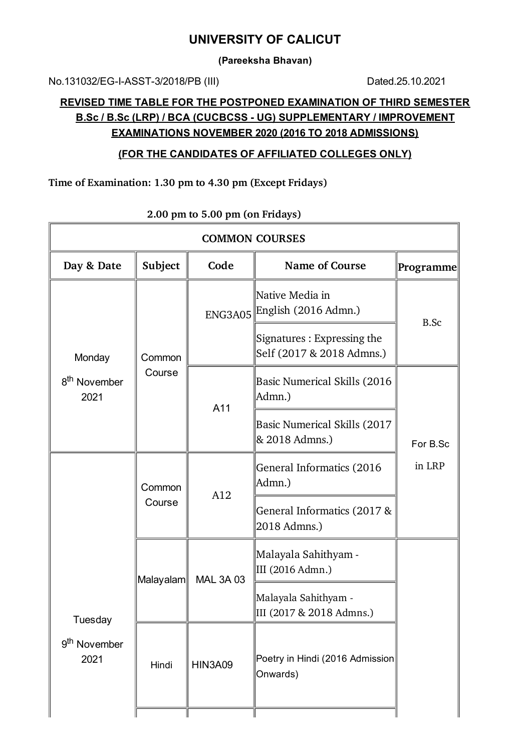## **UNIVERSITY OF CALICUT**

**(Pareeksha Bhavan)**

No.131032/EG-I-ASST-3/2018/PB (III) Dated.25.10.2021

## **REVISED TIME TABLE FOR THE POSTPONED EXAMINATION OF THIRD SEMESTER B.Sc / B.Sc (LRP) / BCA (CUCBCSS - UG) SUPPLEMENTARY / IMPROVEMENT EXAMINATIONS NOVEMBER 2020 (2016 TO 2018 ADMISSIONS)**

#### **(FOR THE CANDIDATES OF AFFILIATED COLLEGES ONLY)**

#### **Time of Examination: 1.30 pm to 4.30 pm (Except Fridays)**

| <b>COMMON COURSES</b>                       |                  |                  |                                                         |                  |  |
|---------------------------------------------|------------------|------------------|---------------------------------------------------------|------------------|--|
| Day & Date                                  | Subject          | Code             | <b>Name of Course</b>                                   | <b>Programme</b> |  |
| Monday<br>8 <sup>th</sup> November<br>2021  | Common<br>Course |                  | Native Media in<br>ENG3A05 English (2016 Admn.)         | B.Sc             |  |
|                                             |                  |                  | Signatures: Expressing the<br>Self (2017 & 2018 Admns.) |                  |  |
|                                             |                  | A11              | <b>Basic Numerical Skills (2016</b><br>Admn.)           |                  |  |
|                                             |                  |                  | Basic Numerical Skills (2017<br>& 2018 Admns.)          | For B.Sc         |  |
| Tuesday<br>9 <sup>th</sup> November<br>2021 | Common<br>Course | A12              | General Informatics (2016)<br>Admn.)                    | in LRP           |  |
|                                             |                  |                  | General Informatics (2017 &<br>2018 Admns.)             |                  |  |
|                                             | Malayalam        | <b>MAL 3A 03</b> | Malayala Sahithyam -<br>III (2016 Admn.)                |                  |  |
|                                             |                  |                  | Malayala Sahithyam -<br>III (2017 & 2018 Admns.)        |                  |  |
|                                             | Hindi            | <b>HIN3A09</b>   | Poetry in Hindi (2016 Admission<br>Onwards)             |                  |  |

### **2.00 pm to 5.00 pm (on Fridays)**

 $\overline{1}$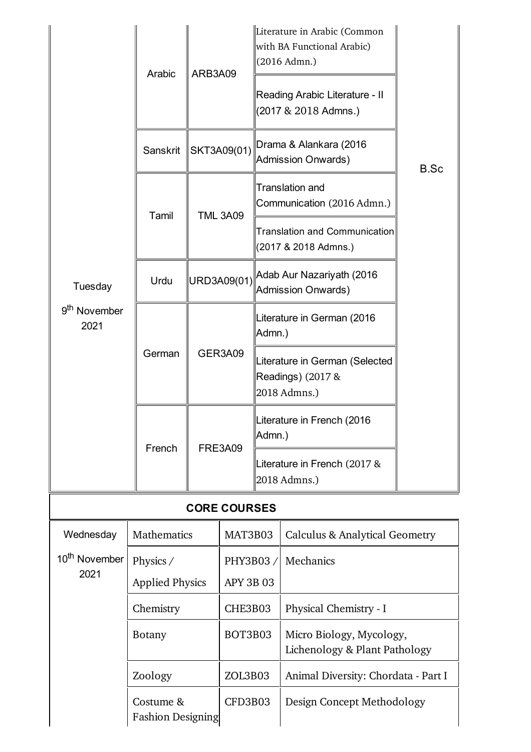|                                             | Arabic                                                                         | ARB3A09     |                              |                                                                     | Literature in Arabic (Common<br>with BA Functional Arabic)<br>(2016 Admn.)<br>Reading Arabic Literature - II<br>(2017 & 2018 Admns.) |      |  |
|---------------------------------------------|--------------------------------------------------------------------------------|-------------|------------------------------|---------------------------------------------------------------------|--------------------------------------------------------------------------------------------------------------------------------------|------|--|
| Tuesday<br>9 <sup>th</sup> November<br>2021 | Sanskrit                                                                       | SKT3A09(01) |                              | Drama & Alankara (2016)<br>Admission Onwards)                       |                                                                                                                                      | B.Sc |  |
|                                             | Tamil                                                                          |             | <b>TML 3A09</b>              |                                                                     | <b>Translation and</b><br>Communication (2016 Admn.)                                                                                 |      |  |
|                                             |                                                                                |             |                              | <b>Translation and Communication</b><br>(2017 & 2018 Admns.)        |                                                                                                                                      |      |  |
|                                             | Urdu                                                                           | URD3A09(01) |                              | Adab Aur Nazariyath (2016<br>Admission Onwards)                     |                                                                                                                                      |      |  |
|                                             |                                                                                | GER3A09     |                              | Literature in German (2016<br>Admn.)                                |                                                                                                                                      |      |  |
|                                             | German                                                                         |             |                              | Literature in German (Selected<br>Readings) (2017 &<br>2018 Admns.) |                                                                                                                                      |      |  |
|                                             |                                                                                |             |                              | Literature in French (2016<br>Admn.)                                |                                                                                                                                      |      |  |
|                                             | French                                                                         |             | <b>FRE3A09</b>               |                                                                     | Literature in French (2017 &<br>2018 Admns.)                                                                                         |      |  |
| <b>CORE COURSES</b>                         |                                                                                |             |                              |                                                                     |                                                                                                                                      |      |  |
| Wednesday                                   | Mathematics                                                                    |             | MAT3B03                      |                                                                     | <b>Calculus &amp; Analytical Geometry</b>                                                                                            |      |  |
| 10 <sup>th</sup> November<br>2021           | Physics /<br><b>Applied Physics</b>                                            |             | PHY3B03/<br><b>APY 3B 03</b> |                                                                     | Mechanics                                                                                                                            |      |  |
|                                             | Chemistry<br><b>Botany</b><br>Zoology<br>Costume &<br><b>Fashion Designing</b> |             | CHE3B03                      |                                                                     | Physical Chemistry - I                                                                                                               |      |  |
|                                             |                                                                                |             | BOT3B03                      |                                                                     | Micro Biology, Mycology,<br>Lichenology & Plant Pathology                                                                            |      |  |
|                                             |                                                                                |             | ZOL3B03                      |                                                                     | Animal Diversity: Chordata - Part I                                                                                                  |      |  |
|                                             |                                                                                |             | CFD3B03                      |                                                                     | Design Concept Methodology                                                                                                           |      |  |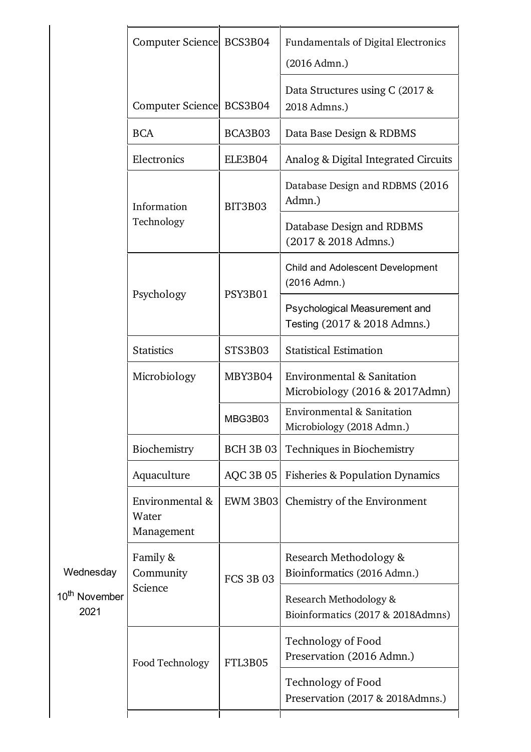|                                                | Computer Science BCS3B04               |                  | <b>Fundamentals of Digital Electronics</b><br>(2016 Admn.)    |
|------------------------------------------------|----------------------------------------|------------------|---------------------------------------------------------------|
|                                                | <b>Computer Science</b>                | BCS3B04          | Data Structures using C (2017 &<br>2018 Admns.)               |
|                                                | <b>BCA</b>                             | BCA3B03          | Data Base Design & RDBMS                                      |
|                                                | Electronics                            | ELE3B04          | Analog & Digital Integrated Circuits                          |
|                                                | Information                            | BIT3B03          | Database Design and RDBMS (2016)<br>Admn.)                    |
|                                                | Technology                             |                  | Database Design and RDBMS<br>(2017 & 2018 Admns.)             |
|                                                | Psychology                             | PSY3B01          | Child and Adolescent Development<br>(2016 Admn.)              |
|                                                |                                        |                  | Psychological Measurement and<br>Testing (2017 & 2018 Admns.) |
|                                                | <b>Statistics</b>                      | STS3B03          | <b>Statistical Estimation</b>                                 |
|                                                | Microbiology                           | MBY3B04          | Environmental & Sanitation<br>Microbiology (2016 & 2017Admn)  |
|                                                |                                        | MBG3B03          | Environmental & Sanitation<br>Microbiology (2018 Admn.)       |
| Wednesday<br>10 <sup>th</sup> November<br>2021 | Biochemistry                           | <b>BCH 3B 03</b> | Techniques in Biochemistry                                    |
|                                                | Aquaculture                            | <b>AQC 3B 05</b> | <b>Fisheries &amp; Population Dynamics</b>                    |
|                                                | Environmental &<br>Water<br>Management | <b>EWM 3B03</b>  | Chemistry of the Environment                                  |
|                                                | Family &<br>Community                  | <b>FCS 3B 03</b> | Research Methodology &<br>Bioinformatics (2016 Admn.)         |
|                                                | Science                                |                  | Research Methodology &<br>Bioinformatics (2017 & 2018Admns)   |
|                                                | Food Technology                        | FTL3B05          | Technology of Food<br>Preservation (2016 Admn.)               |
|                                                |                                        |                  | Technology of Food<br>Preservation (2017 & 2018Admns.)        |
|                                                |                                        |                  |                                                               |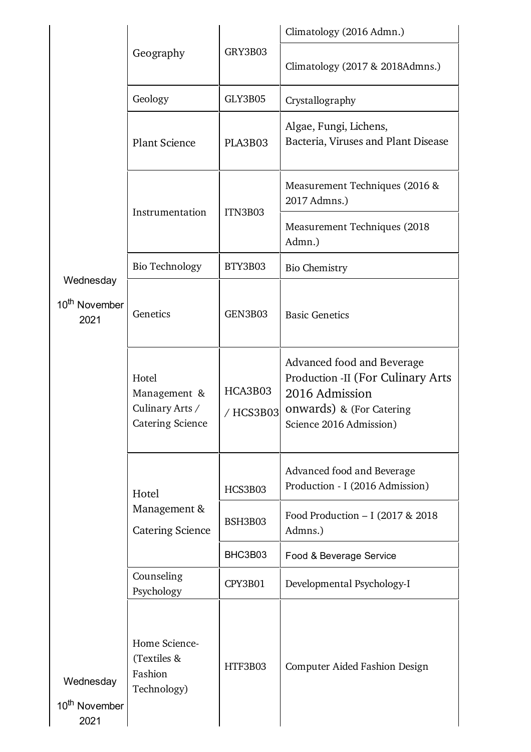|                                                |                                                                     |                      | Climatology (2016 Admn.)                                                                                                                         |  |
|------------------------------------------------|---------------------------------------------------------------------|----------------------|--------------------------------------------------------------------------------------------------------------------------------------------------|--|
|                                                | Geography                                                           | GRY3B03              | Climatology (2017 & 2018Admns.)                                                                                                                  |  |
|                                                | Geology                                                             | GLY3B05              | Crystallography                                                                                                                                  |  |
|                                                | <b>Plant Science</b>                                                | PLA3B03              | Algae, Fungi, Lichens,<br>Bacteria, Viruses and Plant Disease                                                                                    |  |
|                                                | Instrumentation                                                     | ITN3B03              | Measurement Techniques (2016 &<br>2017 Admns.)                                                                                                   |  |
|                                                |                                                                     |                      | Measurement Techniques (2018)<br>Admn.)                                                                                                          |  |
|                                                | <b>Bio Technology</b>                                               | BTY3B03              | <b>Bio Chemistry</b>                                                                                                                             |  |
| Wednesday<br>10 <sup>th</sup> November<br>2021 | Genetics                                                            | GEN3B03              | <b>Basic Genetics</b>                                                                                                                            |  |
|                                                | Hotel<br>Management &<br>Culinary Arts /<br><b>Catering Science</b> | HCA3B03<br>/ HCS3B03 | Advanced food and Beverage<br><b>Production -II (For Culinary Arts)</b><br>2016 Admission<br>onwards) & (For Catering<br>Science 2016 Admission) |  |
|                                                | Hotel                                                               | HCS3B03              | Advanced food and Beverage<br>Production - I (2016 Admission)                                                                                    |  |
|                                                | Management &<br><b>Catering Science</b>                             | <b>BSH3B03</b>       | Food Production - I (2017 & 2018)<br>Admns.)                                                                                                     |  |
|                                                |                                                                     | BHC3B03              | Food & Beverage Service                                                                                                                          |  |
|                                                | Counseling<br>Psychology                                            | CPY3B01              | Developmental Psychology-I                                                                                                                       |  |
| Wednesday<br>10 <sup>th</sup> November<br>2021 | Home Science-<br>(Textiles &<br>Fashion<br>Technology)              | HTF3B03              | <b>Computer Aided Fashion Design</b>                                                                                                             |  |